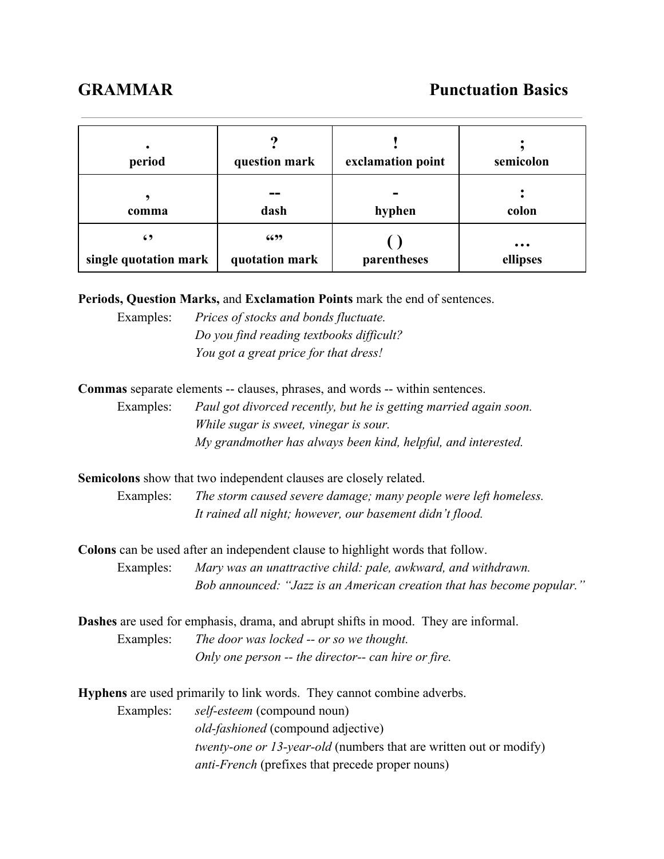# **GRAMMAR Punctuation Basics**

| ٠<br>period                         | ŋ<br>question mark     | exclamation point | semicolon                           |
|-------------------------------------|------------------------|-------------------|-------------------------------------|
| ,<br>comma                          | dash                   | hyphen            | colon                               |
| $\epsilon$<br>single quotation mark | 6699<br>quotation mark | parentheses       | $\bullet\bullet\bullet$<br>ellipses |

**Periods, Question Marks,** and **Exclamation Points** mark the end of sentences.

Examples: *Prices of stocks and bonds fluctuate. Do you find reading textbooks dif icult? You got a great price for that dress!*

**Commas** separate elements -- clauses, phrases, and words -- within sentences.

Examples: *Paul got divorced recently, but he is getting married again soon. While sugar is sweet, vinegar is sour. My grandmother has always been kind, helpful, and interested.*

**Semicolons** show that two independent clauses are closely related.

Examples: *The storm caused severe damage; many people were left homeless. It rained all night; however, our basement didn't flood.*

**Colons**can be used after an independent clause to highlight words that follow.

Examples: *Mary was an unattractive child: pale, awkward, and withdrawn. Bob announced: "Jazz is an American creation that has become popular."*

**Dashes** are used for emphasis, drama, and abrupt shifts in mood. They are informal. Examples: *The door was locked or so we thought.*

*Only one person the director can hire or fire.*

**Hyphens** are used primarily to link words. They cannot combine adverbs.

Examples: *self-esteem* (compound noun) *old-fashioned* (compound adjective) *twenty-one or 13-year-old* (numbers that are written out or modify) *anti-French* (prefixes that precede proper nouns)